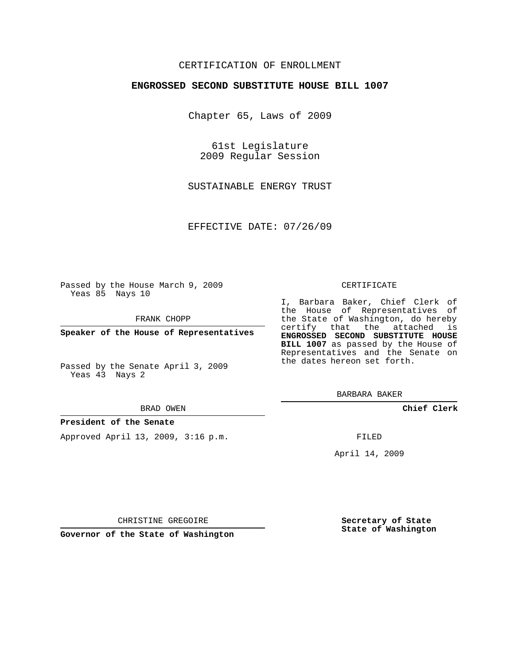# CERTIFICATION OF ENROLLMENT

### **ENGROSSED SECOND SUBSTITUTE HOUSE BILL 1007**

Chapter 65, Laws of 2009

61st Legislature 2009 Regular Session

SUSTAINABLE ENERGY TRUST

EFFECTIVE DATE: 07/26/09

Passed by the House March 9, 2009 Yeas 85 Nays 10

FRANK CHOPP

**Speaker of the House of Representatives**

Passed by the Senate April 3, 2009 Yeas 43 Nays 2

#### BRAD OWEN

#### **President of the Senate**

Approved April 13, 2009, 3:16 p.m.

#### CERTIFICATE

I, Barbara Baker, Chief Clerk of the House of Representatives of the State of Washington, do hereby certify that the attached is **ENGROSSED SECOND SUBSTITUTE HOUSE BILL 1007** as passed by the House of Representatives and the Senate on the dates hereon set forth.

BARBARA BAKER

**Chief Clerk**

FILED

April 14, 2009

**Governor of the State of Washington**

CHRISTINE GREGOIRE

**Secretary of State State of Washington**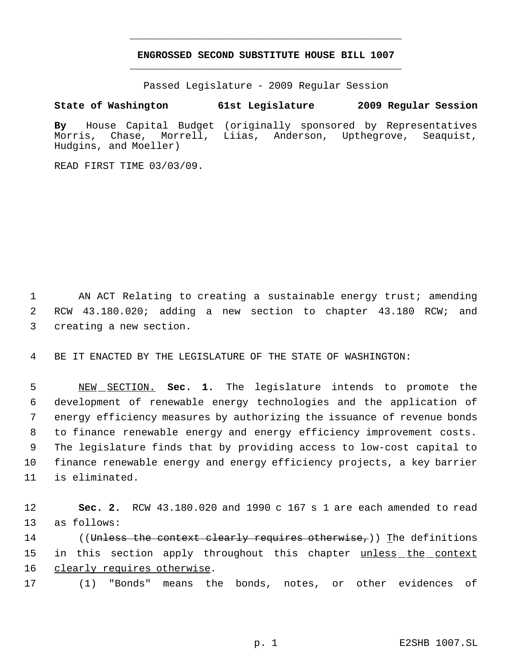# **ENGROSSED SECOND SUBSTITUTE HOUSE BILL 1007** \_\_\_\_\_\_\_\_\_\_\_\_\_\_\_\_\_\_\_\_\_\_\_\_\_\_\_\_\_\_\_\_\_\_\_\_\_\_\_\_\_\_\_\_\_

\_\_\_\_\_\_\_\_\_\_\_\_\_\_\_\_\_\_\_\_\_\_\_\_\_\_\_\_\_\_\_\_\_\_\_\_\_\_\_\_\_\_\_\_\_

Passed Legislature - 2009 Regular Session

# **State of Washington 61st Legislature 2009 Regular Session**

**By** House Capital Budget (originally sponsored by Representatives Morris, Chase, Morrell, Liias, Anderson, Upthegrove, Seaquist, Hudgins, and Moeller)

READ FIRST TIME 03/03/09.

 1 AN ACT Relating to creating a sustainable energy trust; amending 2 RCW 43.180.020; adding a new section to chapter 43.180 RCW; and 3 creating a new section.

4 BE IT ENACTED BY THE LEGISLATURE OF THE STATE OF WASHINGTON:

 NEW SECTION. **Sec. 1.** The legislature intends to promote the development of renewable energy technologies and the application of energy efficiency measures by authorizing the issuance of revenue bonds to finance renewable energy and energy efficiency improvement costs. The legislature finds that by providing access to low-cost capital to finance renewable energy and energy efficiency projects, a key barrier is eliminated.

12 **Sec. 2.** RCW 43.180.020 and 1990 c 167 s 1 are each amended to read 13 as follows:

14 ((<del>Unless the context clearly requires otherwise,</del>)) The definitions 15 in this section apply throughout this chapter unless the context 16 clearly requires otherwise.

17 (1) "Bonds" means the bonds, notes, or other evidences of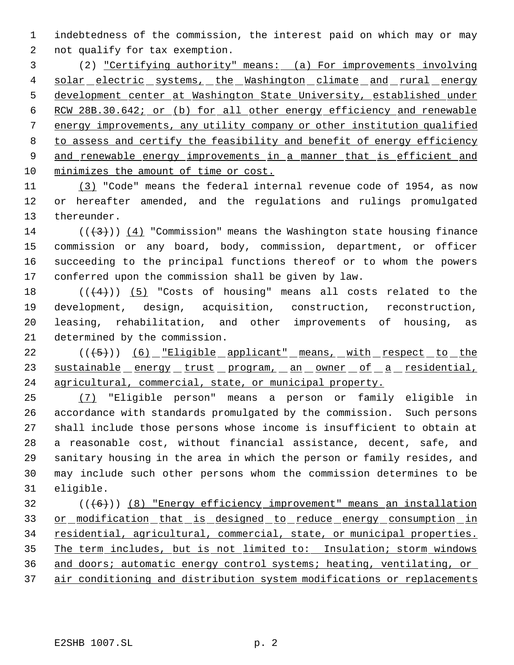indebtedness of the commission, the interest paid on which may or may not qualify for tax exemption.

 (2) "Certifying authority" means: (a) For improvements involving 4 solar electric systems, the Washington climate and rural energy development center at Washington State University, established under 6 RCW 28B.30.642; or (b) for all other energy efficiency and renewable energy improvements, any utility company or other institution qualified to assess and certify the feasibility and benefit of energy efficiency and renewable energy improvements in a manner that is efficient and minimizes the amount of time or cost.

 (3) "Code" means the federal internal revenue code of 1954, as now or hereafter amended, and the regulations and rulings promulgated thereunder.

14 ( $(\langle 3 \rangle)$ ) (4) "Commission" means the Washington state housing finance commission or any board, body, commission, department, or officer succeeding to the principal functions thereof or to whom the powers conferred upon the commission shall be given by law.

 $((+4))$   $(5)$  "Costs of housing" means all costs related to the development, design, acquisition, construction, reconstruction, leasing, rehabilitation, and other improvements of housing, as determined by the commission.

22 (((5)) (6) "Eligible applicant" means, with respect to the 23 sustainable energy trust program, an owner of a residential, agricultural, commercial, state, or municipal property.

 (7) "Eligible person" means a person or family eligible in accordance with standards promulgated by the commission. Such persons shall include those persons whose income is insufficient to obtain at a reasonable cost, without financial assistance, decent, safe, and sanitary housing in the area in which the person or family resides, and may include such other persons whom the commission determines to be eligible.

32 (((6))) (8) "Energy efficiency improvement" means an installation 33 or modification that is designed to reduce energy consumption in 34 residential, agricultural, commercial, state, or municipal properties. The term includes, but is not limited to: Insulation; storm windows and doors; automatic energy control systems; heating, ventilating, or air conditioning and distribution system modifications or replacements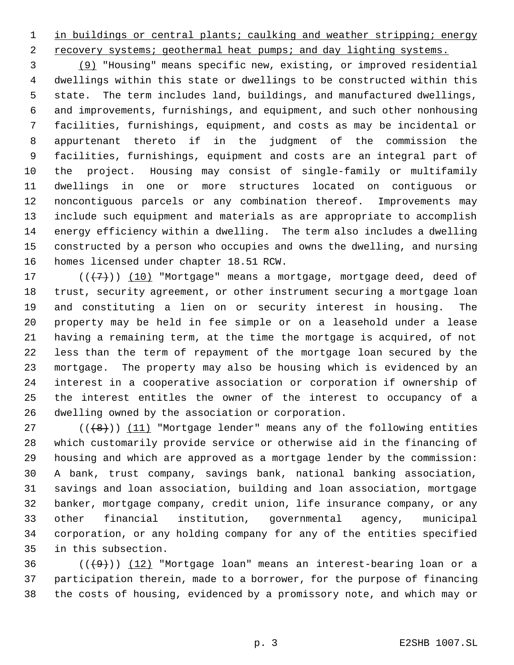1 in buildings or central plants; caulking and weather stripping; energy

2 recovery systems; geothermal heat pumps; and day lighting systems.

 (9) "Housing" means specific new, existing, or improved residential dwellings within this state or dwellings to be constructed within this state. The term includes land, buildings, and manufactured dwellings, and improvements, furnishings, and equipment, and such other nonhousing facilities, furnishings, equipment, and costs as may be incidental or appurtenant thereto if in the judgment of the commission the facilities, furnishings, equipment and costs are an integral part of the project. Housing may consist of single-family or multifamily dwellings in one or more structures located on contiguous or noncontiguous parcels or any combination thereof. Improvements may include such equipment and materials as are appropriate to accomplish energy efficiency within a dwelling. The term also includes a dwelling constructed by a person who occupies and owns the dwelling, and nursing homes licensed under chapter 18.51 RCW.

 $((+7))$   $(10)$  "Mortgage" means a mortgage, mortgage deed, deed of trust, security agreement, or other instrument securing a mortgage loan and constituting a lien on or security interest in housing. The property may be held in fee simple or on a leasehold under a lease having a remaining term, at the time the mortgage is acquired, of not less than the term of repayment of the mortgage loan secured by the mortgage. The property may also be housing which is evidenced by an interest in a cooperative association or corporation if ownership of the interest entitles the owner of the interest to occupancy of a dwelling owned by the association or corporation.

 $((+8))$   $(11)$  "Mortgage lender" means any of the following entities which customarily provide service or otherwise aid in the financing of housing and which are approved as a mortgage lender by the commission: A bank, trust company, savings bank, national banking association, savings and loan association, building and loan association, mortgage banker, mortgage company, credit union, life insurance company, or any other financial institution, governmental agency, municipal corporation, or any holding company for any of the entities specified in this subsection.

 ( $(\frac{49}{12})$  (12) "Mortgage loan" means an interest-bearing loan or a participation therein, made to a borrower, for the purpose of financing the costs of housing, evidenced by a promissory note, and which may or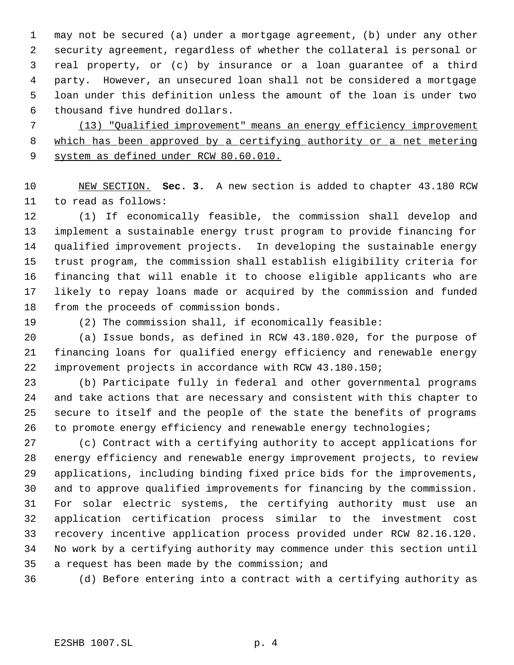may not be secured (a) under a mortgage agreement, (b) under any other security agreement, regardless of whether the collateral is personal or real property, or (c) by insurance or a loan guarantee of a third party. However, an unsecured loan shall not be considered a mortgage loan under this definition unless the amount of the loan is under two thousand five hundred dollars.

 (13) "Qualified improvement" means an energy efficiency improvement which has been approved by a certifying authority or a net metering 9 system as defined under RCW 80.60.010.

 NEW SECTION. **Sec. 3.** A new section is added to chapter 43.180 RCW to read as follows:

 (1) If economically feasible, the commission shall develop and implement a sustainable energy trust program to provide financing for qualified improvement projects. In developing the sustainable energy trust program, the commission shall establish eligibility criteria for financing that will enable it to choose eligible applicants who are likely to repay loans made or acquired by the commission and funded from the proceeds of commission bonds.

(2) The commission shall, if economically feasible:

 (a) Issue bonds, as defined in RCW 43.180.020, for the purpose of financing loans for qualified energy efficiency and renewable energy improvement projects in accordance with RCW 43.180.150;

 (b) Participate fully in federal and other governmental programs and take actions that are necessary and consistent with this chapter to secure to itself and the people of the state the benefits of programs to promote energy efficiency and renewable energy technologies;

 (c) Contract with a certifying authority to accept applications for energy efficiency and renewable energy improvement projects, to review applications, including binding fixed price bids for the improvements, and to approve qualified improvements for financing by the commission. For solar electric systems, the certifying authority must use an application certification process similar to the investment cost recovery incentive application process provided under RCW 82.16.120. No work by a certifying authority may commence under this section until a request has been made by the commission; and

(d) Before entering into a contract with a certifying authority as